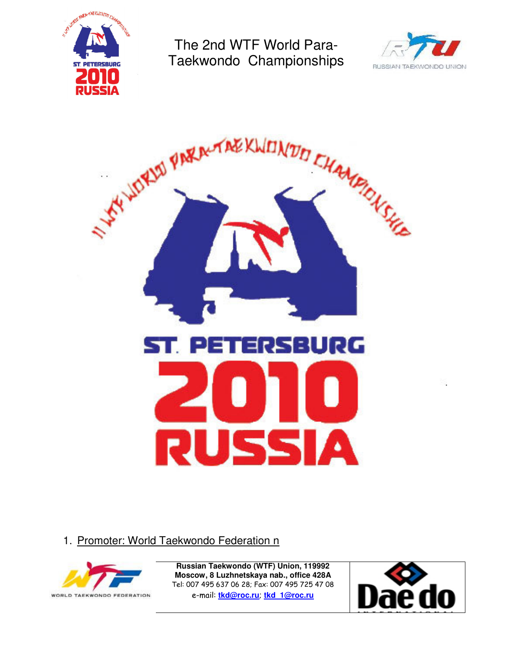





1. Promoter: World Taekwondo Federation n



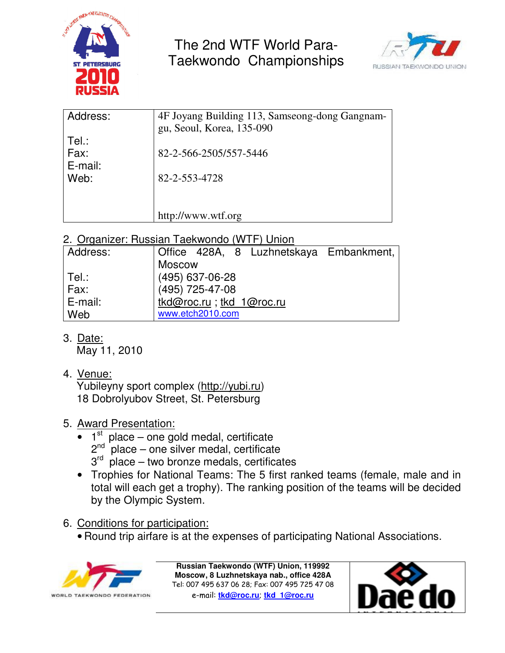



| Address: | 4F Joyang Building 113, Samseong-dong Gangnam- |
|----------|------------------------------------------------|
|          | gu, Seoul, Korea, 135-090                      |
| Tel.:    |                                                |
| Fax:     | 82-2-566-2505/557-5446                         |
| E-mail:  |                                                |
| Web:     | 82-2-553-4728                                  |
|          |                                                |
|          |                                                |
|          |                                                |
|          | http://www.wtf.org                             |
|          |                                                |

2. Organizer: Russian Taekwondo (WTF) Union

| Address: | Office 428A, 8 Luzhnetskaya Embankment, |
|----------|-----------------------------------------|
|          | Moscow                                  |
| ∣ Tel.:  | (495) 637-06-28                         |
| $ $ Fax: | (495) 725-47-08                         |
| E-mail:  | tkd@roc.ru; tkd_1@roc.ru                |
| Web      | www.etch2010.com                        |

3. Date:

May 11, 2010

4. Venue:

Yubileyny sport complex (http://yubi.ru) 18 Dobrolyubov Street, St. Petersburg

- 5. Award Presentation:
	- $\bullet$  1<sup>st</sup> place one gold medal, certificate  $2<sup>nd</sup>$  place – one silver medal, certificate  $3<sup>rd</sup>$  place – two bronze medals, certificates
	- Trophies for National Teams: The 5 first ranked teams (female, male and in total will each get a trophy). The ranking position of the teams will be decided by the Olympic System.
- 6. Conditions for participation:
	- Round trip airfare is at the expenses of participating National Associations.



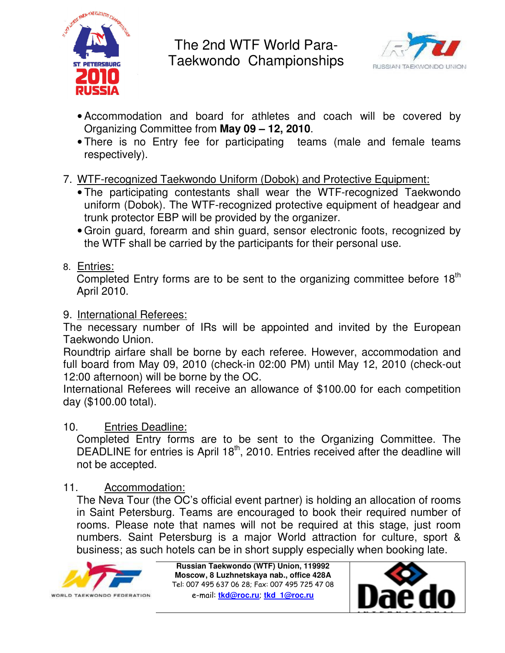



- Accommodation and board for athletes and coach will be covered by Organizing Committee from **May 09 – 12, 2010**.
- There is no Entry fee for participating teams (male and female teams respectively).
- 7. WTF-recognized Taekwondo Uniform (Dobok) and Protective Equipment:
	- The participating contestants shall wear the WTF-recognized Taekwondo uniform (Dobok). The WTF-recognized protective equipment of headgear and trunk protector EBP will be provided by the organizer.
	- Groin guard, forearm and shin guard, sensor electronic foots, recognized by the WTF shall be carried by the participants for their personal use.
- 8. Entries:

Completed Entry forms are to be sent to the organizing committee before  $18<sup>th</sup>$ April 2010.

## 9. International Referees:

The necessary number of IRs will be appointed and invited by the European Taekwondo Union.

Roundtrip airfare shall be borne by each referee. However, accommodation and full board from May 09, 2010 (check-in 02:00 PM) until May 12, 2010 (check-out 12:00 afternoon) will be borne by the OC.

International Referees will receive an allowance of \$100.00 for each competition day (\$100.00 total).

## 10. Entries Deadline:

Completed Entry forms are to be sent to the Organizing Committee. The DEADLINE for entries is April  $18<sup>th</sup>$ , 2010. Entries received after the deadline will not be accepted.

## 11. Accommodation:

The Neva Tour (the OC's official event partner) is holding an allocation of rooms in Saint Petersburg. Teams are encouraged to book their required number of rooms. Please note that names will not be required at this stage, just room numbers. Saint Petersburg is a major World attraction for culture, sport & business; as such hotels can be in short supply especially when booking late.



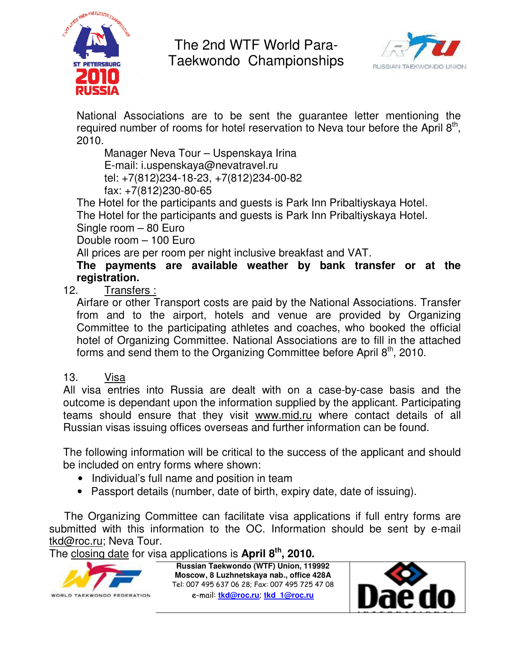



National Associations are to be sent the guarantee letter mentioning the required number of rooms for hotel reservation to Neva tour before the April  $8<sup>th</sup>$ , 2010.

 Manager Neva Tour – Uspenskaya Irina E-mail: i.uspenskaya@nevatravel.ru tel: +7(812)234-18-23, +7(812)234-00-82 fax: +7(812)230-80-65

The Hotel for the participants and guests is Park Inn Pribaltiyskaya Hotel.

The Hotel for the participants and guests is Park Inn Pribaltiyskaya Hotel.

Single room – 80 Euro

Double room – 100 Euro

All prices are per room per night inclusive breakfast and VAT.

**The payments are available weather by bank transfer or at the registration.** 

12. Transfers :

Airfare or other Transport costs are paid by the National Associations. Transfer from and to the airport, hotels and venue are provided by Organizing Committee to the participating athletes and coaches, who booked the official hotel of Organizing Committee. National Associations are to fill in the attached forms and send them to the Organizing Committee before April 8<sup>th</sup>, 2010.

### 13. Visa

All visa entries into Russia are dealt with on a case-by-case basis and the outcome is dependant upon the information supplied by the applicant. Participating teams should ensure that they visit www.mid.ru where contact details of all Russian visas issuing offices overseas and further information can be found.

The following information will be critical to the success of the applicant and should be included on entry forms where shown:

- Individual's full name and position in team
- Passport details (number, date of birth, expiry date, date of issuing).

 The Organizing Committee can facilitate visa applications if full entry forms are submitted with this information to the OC. Information should be sent by e-mail tkd@roc.ru; Neva Tour.

The closing date for visa applications is **April 8th, 2010.**



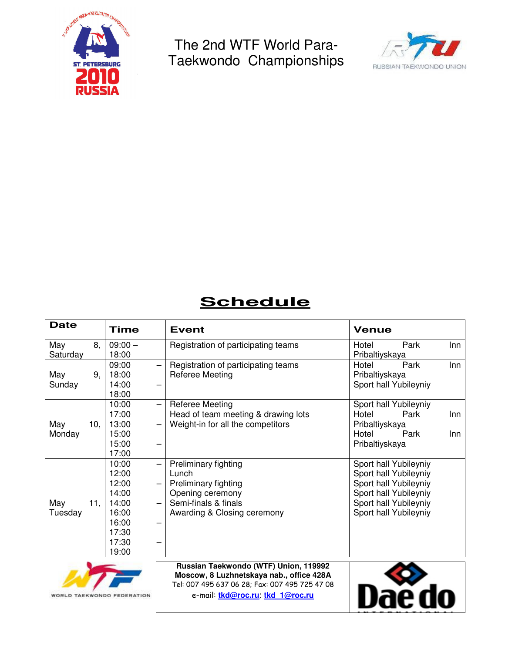



# **Schedule**

| <b>Date</b> |    | <b>Time</b>                | <b>Event</b>                          | <b>Venue</b>          |     |
|-------------|----|----------------------------|---------------------------------------|-----------------------|-----|
| May         | 8, | $09:00 -$                  | Registration of participating teams   | Park<br>Hotel         | Inn |
| Saturday    |    | 18:00                      |                                       | Pribaltiyskaya        |     |
|             |    | 09:00                      | Registration of participating teams   | Park<br>Hotel         | Inn |
| May         | 9, | 18:00                      | Referee Meeting                       | Pribaltiyskaya        |     |
| Sunday      |    | 14:00                      |                                       | Sport hall Yubileyniy |     |
|             |    | 18:00                      |                                       |                       |     |
|             |    | 10:00<br>$\qquad \qquad -$ | <b>Referee Meeting</b>                | Sport hall Yubileyniy |     |
|             |    | 17:00                      | Head of team meeting & drawing lots   | Park<br>Hotel         | Inn |
| May<br>10,  |    | 13:00                      | Weight-in for all the competitors     | Pribaltiyskaya        |     |
| Monday      |    | 15:00                      |                                       | Hotel<br>Park         | Inn |
|             |    | 15:00                      |                                       | Pribaltiyskaya        |     |
|             |    | 17:00                      |                                       |                       |     |
|             |    | 10:00<br>—                 | Preliminary fighting                  | Sport hall Yubileyniy |     |
|             |    | 12:00                      | Lunch                                 | Sport hall Yubileyniy |     |
|             |    | 12:00                      | Preliminary fighting                  | Sport hall Yubileyniy |     |
|             |    | 14:00                      | Opening ceremony                      | Sport hall Yubileyniy |     |
| May<br>11,  |    | 14:00                      | Semi-finals & finals                  | Sport hall Yubileyniy |     |
| Tuesday     |    | 16:00                      | Awarding & Closing ceremony           | Sport hall Yubileyniy |     |
|             |    | 16:00                      |                                       |                       |     |
|             |    | 17:30                      |                                       |                       |     |
|             |    | 17:30                      |                                       |                       |     |
|             |    | 19:00                      |                                       |                       |     |
|             |    |                            | Russian Taekwondo (WTF) Union, 119992 |                       |     |



**Moscow, 8 Luzhnetskaya nab., office 428A**  Tel: 007 495 637 06 28; Fax: 007 495 725 47 08 e-mail: **tkd@roc.ru**; **tkd\_1@roc.ru**